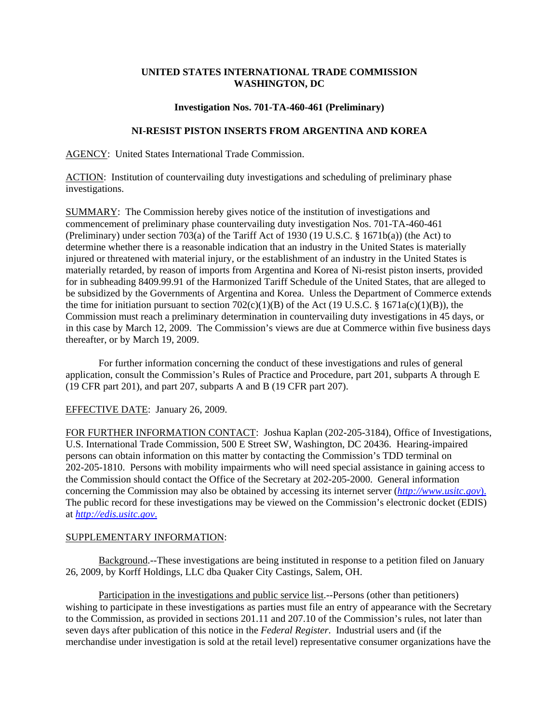## **UNITED STATES INTERNATIONAL TRADE COMMISSION WASHINGTON, DC**

## **Investigation Nos. 701-TA-460-461 (Preliminary)**

## **NI-RESIST PISTON INSERTS FROM ARGENTINA AND KOREA**

AGENCY: United States International Trade Commission.

ACTION: Institution of countervailing duty investigations and scheduling of preliminary phase investigations.

SUMMARY: The Commission hereby gives notice of the institution of investigations and commencement of preliminary phase countervailing duty investigation Nos. 701-TA-460-461 (Preliminary) under section 703(a) of the Tariff Act of 1930 (19 U.S.C. § 1671b(a)) (the Act) to determine whether there is a reasonable indication that an industry in the United States is materially injured or threatened with material injury, or the establishment of an industry in the United States is materially retarded, by reason of imports from Argentina and Korea of Ni-resist piston inserts, provided for in subheading 8409.99.91 of the Harmonized Tariff Schedule of the United States, that are alleged to be subsidized by the Governments of Argentina and Korea. Unless the Department of Commerce extends the time for initiation pursuant to section  $702(c)(1)(B)$  of the Act (19 U.S.C. § 1671a(c)(1)(B)), the Commission must reach a preliminary determination in countervailing duty investigations in 45 days, or in this case by March 12, 2009. The Commission's views are due at Commerce within five business days thereafter, or by March 19, 2009.

For further information concerning the conduct of these investigations and rules of general application, consult the Commission's Rules of Practice and Procedure, part 201, subparts A through E (19 CFR part 201), and part 207, subparts A and B (19 CFR part 207).

EFFECTIVE DATE: January 26, 2009.

FOR FURTHER INFORMATION CONTACT: Joshua Kaplan (202-205-3184), Office of Investigations, U.S. International Trade Commission, 500 E Street SW, Washington, DC 20436. Hearing-impaired persons can obtain information on this matter by contacting the Commission's TDD terminal on 202-205-1810. Persons with mobility impairments who will need special assistance in gaining access to the Commission should contact the Office of the Secretary at 202-205-2000. General information concerning the Commission may also be obtained by accessing its internet server (*http://www.usitc.gov*). The public record for these investigations may be viewed on the Commission's electronic docket (EDIS) at *http://edis.usitc.gov*.

## SUPPLEMENTARY INFORMATION:

Background.--These investigations are being instituted in response to a petition filed on January 26, 2009, by Korff Holdings, LLC dba Quaker City Castings, Salem, OH.

Participation in the investigations and public service list.--Persons (other than petitioners) wishing to participate in these investigations as parties must file an entry of appearance with the Secretary to the Commission, as provided in sections 201.11 and 207.10 of the Commission's rules, not later than seven days after publication of this notice in the *Federal Register*. Industrial users and (if the merchandise under investigation is sold at the retail level) representative consumer organizations have the